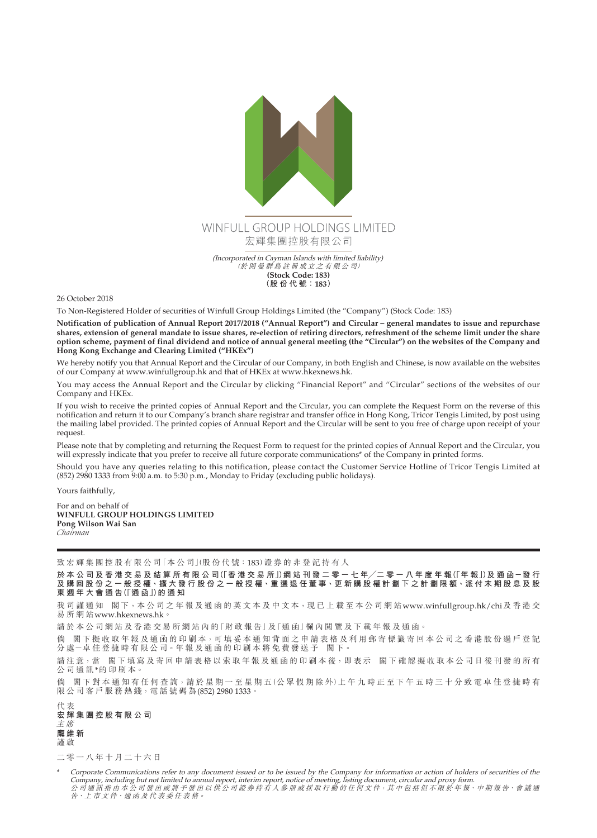

26 October 2018

To Non-Registered Holder of securities of Winfull Group Holdings Limited (the "Company") (Stock Code: 183)

**Notification of publication of Annual Report 2017/2018 ("Annual Report") and Circular – general mandates to issue and repurchase shares, extension of general mandate to issue shares, re-election of retiring directors, refreshment of the scheme limit under the share option scheme, payment of final dividend and notice of annual general meeting (the "Circular") on the websites of the Company and Hong Kong Exchange and Clearing Limited ("HKEx")**

We hereby notify you that Annual Report and the Circular of our Company, in both English and Chinese, is now available on the websites of our Company at www.winfullgroup.hk and that of HKEx at [www.hkexnews.hk.](www.hkexnews.hk)

You may access the Annual Report and the Circular by clicking "Financial Report" and "Circular" sections of the websites of our Company and HKEx.

If you wish to receive the printed copies of Annual Report and the Circular, you can complete the Request Form on the reverse of this notification and return it to our Company's branch share registrar and transfer office in Hong Kong, Tricor Tengis Limited, by post using the mailing label provided. The printed copies of Annual Report and the Circular will be sent to you free of charge upon receipt of your request.

Please note that by completing and returning the Request Form to request for the printed copies of Annual Report and the Circular, you will expressly indicate that you prefer to receive all future corporate communications\* of the Company in printed forms.

Should you have any queries relating to this notification, please contact the Customer Service Hotline of Tricor Tengis Limited at (852) 2980 1333 from 9:00 a.m. to 5:30 p.m., Monday to Friday (excluding public holidays).

Yours faithfully,

For and on behalf of **WINFULL GROUP HOLDINGS LIMITED Pong Wilson Wai San** *Chairman*

致宏輝集團控股有限公司「本公司」(股份代號:183)證券的非登記持有人

於本公司及香港交易及結算所有限公司(「香港交易所」)網站刊發二零一七年/二零一八年度年報(「年報」)及通函-發行 **及 購 回 股 份 之 一 般 授 權、擴 大 發 行 股 份 之 一 般 授 權、重 選 退 任 董 事、更 新 購 股 權 計 劃 下 之 計 劃 限 額、派 付 末 期 股 息 及 股 東週年大會通告(「通 函」)的通知**

我司謹通知 閣下,本公司之年報及通函的英文本及中文本,現已上載至本公司網站<www.winfullgroup.hk/chi>及香港交 易所網站<www.hkexnews.hk>。

請於本公司網站及香港交易所網站內的「財政報告」及「通函」欄內閲覽及下載年報及通函。

倘 閣下擬收取年報及通函的印刷本,可填妥本通知背面之申請表格及利用郵寄標籤寄回本公司之香港股份過戶登記 分處-卓佳登捷時有限公司。年報及通函的印刷本將免費發送予 閣下。

請注意,當 閣下填寫及寄回申請表格以索取年報及通函的印刷本後,即表示 閣下確認擬收取本公司日後刊發的所有 公司通訊\*的印刷本。

倘 閣下對本通知有任何查詢,請於星期一至星期五(公眾假期除外)上午九時正至下午五時三十分致電卓佳登捷時有 **限公司客戶服務熱綫,電話號碼為(852) 2980 1333。** 

代 表 **宏輝集團控股有限公司** 主 席 **龐維新** 謹 啟

二零一八年十月二十六日

\* Corporate Communications refer to any document issued or to be issued by the Company for information or action of holders of securities of the<br>Company, including but not limited to annual report, interim report, notice 告、上 市 文 件、通 函 及 代 表 委 任 表 格。